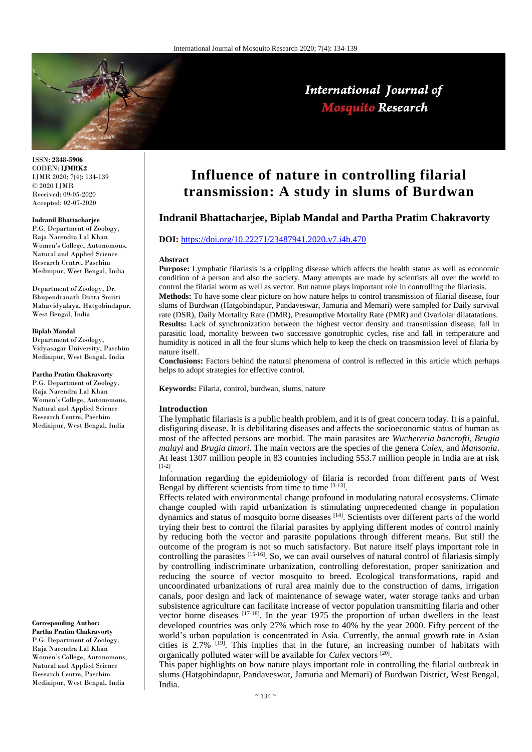

ISSN: **2348-5906** CODEN: **IJMRK2** IJMR 2020; 7(4): 134-139 © 2020 IJMR Received: 09-05-2020 Accepted: 02-07-2020

### **Indranil Bhattacharjee**

P.G. Department of Zoology, Raja Narendra Lal Khan Women's College, Autonomous, Natural and Applied Science Research Centre, Paschim Medinipur, West Bengal, India

Department of Zoology, Dr. Bhupendranath Dutta Smriti Mahavidyalaya, Hatgobindapur, West Bengal, India

#### **Biplab Mandal**

Department of Zoology, Vidyasagar University, Paschim Medinipur, West Bengal, India

#### **Partha Pratim Chakravorty**

P.G. Department of Zoology, Raja Narendra Lal Khan Women's College, Autonomous, Natural and Applied Science Research Centre, Paschim Medinipur, West Bengal, India

#### **Corresponding Author: Partha Pratim Chakravorty**

P.G. Department of Zoology, Raja Narendra Lal Khan Women's College, Autonomous, Natural and Applied Science Research Centre, Paschim Medinipur, West Bengal, India

# **Influence of nature in controlling filarial transmission: A study in slums of Burdwan**

# **Indranil Bhattacharjee, Biplab Mandal and Partha Pratim Chakravorty**

### **DOI:** <https://doi.org/10.22271/23487941.2020.v7.i4b.470>

### **Abstract**

**Purpose:** Lymphatic filariasis is a crippling disease which affects the health status as well as economic condition of a person and also the society. Many attempts are made by scientists all over the world to control the filarial worm as well as vector. But nature plays important role in controlling the filariasis. **Methods:** To have some clear picture on how nature helps to control transmission of filarial disease, four slums of Burdwan (Hatgobindapur, Pandaveswar, Jamuria and Memari) were sampled for Daily survival rate (DSR), Daily Mortality Rate (DMR), Presumptive Mortality Rate (PMR) and Ovariolar dilatatations. **Results:** Lack of synchronization between the highest vector density and transmission disease, fall in parasitic load, mortality between two successive gonotrophic cycles, rise and fall in temperature and humidity is noticed in all the four slums which help to keep the check on transmission level of filaria by nature itself.

**Conclusions:** Factors behind the natural phenomena of control is reflected in this article which perhaps helps to adopt strategies for effective control.

**Keywords:** Filaria, control, burdwan, slums, nature

### **Introduction**

The lymphatic filariasis is a public health problem, and it is of great concern today. It is a painful, disfiguring disease. It is debilitating diseases and affects the socioeconomic status of human as most of the affected persons are morbid. The main parasites are *Wuchereria bancrofti, Brugia malayi* and *Brugia timori.* The main vectors are the species of the genera *Culex,* and *Mansonia*. At least 1307 million people in 83 countries including 553.7 million people in India are at risk [1-2] .

Information regarding the epidemiology of filaria is recorded from different parts of West Bengal by different scientists from time to time [3-13].

Effects related with environmental change profound in modulating natural ecosystems. Climate change coupled with rapid urbanization is stimulating unprecedented change in population dynamics and status of mosquito borne diseases [14]. Scientists over different parts of the world trying their best to control the filarial parasites by applying different modes of control mainly by reducing both the vector and parasite populations through different means. But still the outcome of the program is not so much satisfactory. But nature itself plays important role in controlling the parasites [15-16]. So, we can avail ourselves of natural control of filariasis simply by controlling indiscriminate urbanization, controlling deforestation, proper sanitization and reducing the source of vector mosquito to breed. Ecological transformations, rapid and uncoordinated urbanizations of rural area mainly due to the construction of dams, irrigation canals, poor design and lack of maintenance of sewage water, water storage tanks and urban subsistence agriculture can facilitate increase of vector population transmitting filaria and other vector borne diseases [17-18]. In the year 1975 the proportion of urban dwellers in the least developed countries was only 27% which rose to 40% by the year 2000. Fifty percent of the world's urban population is concentrated in Asia. Currently, the annual growth rate in Asian cities is 2.7% [19]. This implies that in the future, an increasing number of habitats with organically polluted water will be available for *Culex* vectors <sup>[20]</sup>.

This paper highlights on how nature plays important role in controlling the filarial outbreak in slums (Hatgobindapur, Pandaveswar, Jamuria and Memari) of Burdwan District, West Bengal, India.

# International Journal of **Mosquito Research**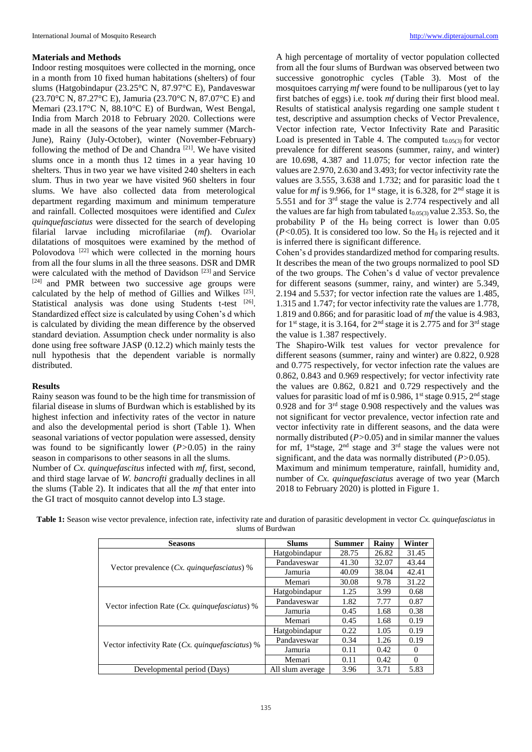# **Materials and Methods**

Indoor resting mosquitoes were collected in the morning, once in a month from 10 fixed human habitations (shelters) of four slums (Hatgobindapur (23.25°C N, 87.97°C E), Pandaveswar (23.70°C N, 87.27°C E), Jamuria (23.70°C N, 87.07°C E) and Memari (23.17°C N, 88.10°C E) of Burdwan, West Bengal, India from March 2018 to February 2020. Collections were made in all the seasons of the year namely summer (March-June), Rainy (July-October), winter (November-February) following the method of De and Chandra [21]. We have visited slums once in a month thus 12 times in a year having 10 shelters. Thus in two year we have visited 240 shelters in each slum. Thus in two year we have visited 960 shelters in four slums. We have also collected data from meterological department regarding maximum and minimum temperature and rainfall. Collected mosquitoes were identified and *Culex quinquefasciatus* were dissected for the search of developing filarial larvae including microfilariae (*mf*). Ovariolar dilatations of mosquitoes were examined by the method of Polovodova  $[22]$  which were collected in the morning hours from all the four slums in all the three seasons. DSR and DMR were calculated with the method of Davidson [23] and Service [24] and PMR between two successive age groups were calculated by the help of method of Gillies and Wilkes [25]. Statistical analysis was done using Students t-test [26]. Standardized effect size is calculated by using Cohen's d which is calculated by dividing the mean difference by the observed standard deviation. Assumption check under normality is also done using free software JASP (0.12.2) which mainly tests the null hypothesis that the dependent variable is normally distributed.

# **Results**

Rainy season was found to be the high time for transmission of filarial disease in slums of Burdwan which is established by its highest infection and infectivity rates of the vector in nature and also the developmental period is short (Table 1). When seasonal variations of vector population were assessed, density was found to be significantly lower (*P>*0.05) in the rainy season in comparisons to other seasons in all the slums.

Number of *Cx. quinquefascitus* infected with *mf*, first, second, and third stage larvae of *W. bancrofti* gradually declines in all the slums (Table 2). It indicates that all the *mf* that enter into the GI tract of mosquito cannot develop into L3 stage.

A high percentage of mortality of vector population collected from all the four slums of Burdwan was observed between two successive gonotrophic cycles (Table 3). Most of the mosquitoes carrying *mf* were found to be nulliparous (yet to lay first batches of eggs) i.e. took *mf* during their first blood meal. Results of statistical analysis regarding one sample student t test, descriptive and assumption checks of Vector Prevalence, Vector infection rate, Vector Infectivity Rate and Parasitic Load is presented in Table 4. The computed  $t_{0.05(3)}$  for vector prevalence for different seasons (summer, rainy, and winter) are 10.698, 4.387 and 11.075; for vector infection rate the values are 2.970, 2.630 and 3.493; for vector infectivity rate the values are 3.555, 3.638 and 1.732; and for parasitic load the t value for  $m\dot{f}$  is 9.966, for 1<sup>st</sup> stage, it is 6.328, for 2<sup>nd</sup> stage it is 5.551 and for 3rd stage the value is 2.774 respectively and all the values are far high from tabulated  $t_{0.05(3)}$  value 2.353. So, the probability P of the  $H_0$  being correct is lower than 0.05  $(P<0.05)$ . It is considered too low. So the H<sub>0</sub> is rejected and it is inferred there is significant difference.

Cohen's d provides standardized method for comparing results. It describes the mean of the two groups normalized to pool SD of the two groups. The Cohen's d value of vector prevalence for different seasons (summer, rainy, and winter) are 5.349, 2.194 and 5.537; for vector infection rate the values are 1.485, 1.315 and 1.747; for vector infectivity rate the values are 1.778, 1.819 and 0.866; and for parasitic load of *mf* the value is 4.983, for 1<sup>st</sup> stage, it is 3.164, for 2<sup>nd</sup> stage it is 2.775 and for 3<sup>rd</sup> stage the value is 1.387 respectively.

The Shapiro-Wilk test values for vector prevalence for different seasons (summer, rainy and winter) are 0.822, 0.928 and 0.775 respectively, for vector infection rate the values are 0.862, 0.843 and 0.969 respectively; for vector infectivity rate the values are 0.862, 0.821 and 0.729 respectively and the values for parasitic load of mf is 0.986,  $1<sup>st</sup>$  stage 0.915,  $2<sup>nd</sup>$  stage 0.928 and for  $3<sup>rd</sup>$  stage 0.908 respectively and the values was not significant for vector prevalence, vector infection rate and vector infectivity rate in different seasons, and the data were normally distributed (*P>*0.05) and in similar manner the values for mf, 1<sup>st</sup>stage, 2<sup>nd</sup> stage and 3<sup>rd</sup> stage the values were not significant, and the data was normally distributed (*P>*0.05). Maximum and minimum temperature, rainfall, humidity and, number of *Cx. quinquefasciatus* average of two year (March 2018 to February 2020) is plotted in Figure 1.

| Table 1: Season wise vector prevalence, infection rate, infectivity rate and duration of parasitic development in vector Cx. quinquefasciatus in |                  |  |
|--------------------------------------------------------------------------------------------------------------------------------------------------|------------------|--|
|                                                                                                                                                  | slums of Burdwan |  |

| <b>Seasons</b>                                      | <b>Slums</b>     | <b>Summer</b> | Rainv | Winter   |
|-----------------------------------------------------|------------------|---------------|-------|----------|
|                                                     | Hatgobindapur    | 28.75         | 26.82 | 31.45    |
|                                                     | Pandaveswar      | 41.30         | 32.07 | 43.44    |
| Vector prevalence $(Cx.$ quinque fasciatus) %       | Jamuria          | 40.09         | 38.04 | 42.41    |
|                                                     | Memari           | 30.08         | 9.78  | 31.22    |
|                                                     | Hatgobindapur    | 1.25          | 3.99  | 0.68     |
| Vector infection Rate $(Cx.$ quinque fasciatus) $%$ | Pandaveswar      | 1.82          | 7.77  | 0.87     |
|                                                     | Jamuria          | 0.45          | 1.68  | 0.38     |
|                                                     | Memari           | 0.45          | 1.68  | 0.19     |
|                                                     | Hatgobindapur    | 0.22          | 1.05  | 0.19     |
| Vector infectivity Rate (Cx. quinquefasciatus) %    | Pandaveswar      | 0.34          | 1.26  | 0.19     |
|                                                     | Jamuria          | 0.11          | 0.42  | $\Omega$ |
|                                                     | Memari           | 0.11          | 0.42  | $\Omega$ |
| Developmental period (Days)                         | All slum average | 3.96          | 3.71  | 5.83     |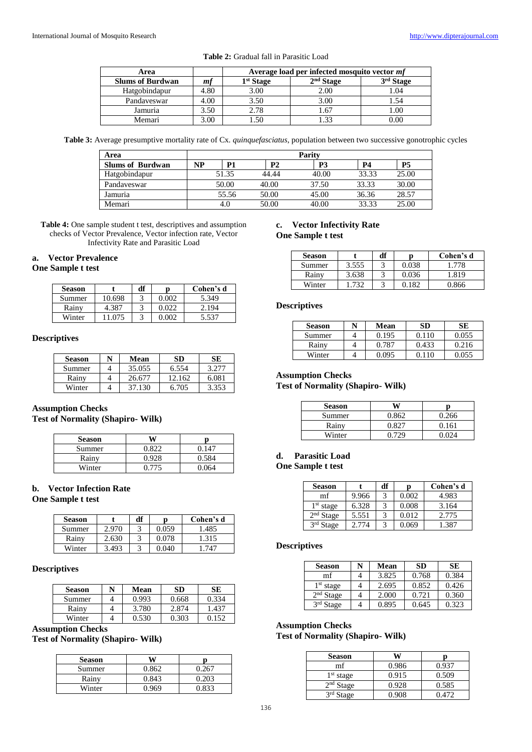| Area                    |      | Average load per infected mosquito vector mf |             |             |  |  |
|-------------------------|------|----------------------------------------------|-------------|-------------|--|--|
| <b>Slums of Burdwan</b> | m    | 1 <sup>st</sup> Stage                        | $2nd$ Stage | $3rd$ Stage |  |  |
| Hatgobindapur           | 4.80 | 3.00                                         | 2.00        | 1.04        |  |  |
| Pandaveswar             | 4.00 | 3.50                                         | 3.00        | 1.54        |  |  |
| Jamuria                 | 3.50 | 2.78                                         | .67         | 00.1        |  |  |
| Memari                  | .00  |                                              |             |             |  |  |

**Table 2:** Gradual fall in Parasitic Load

**Table 3:** Average presumptive mortality rate of Cx*. quinquefasciatus*, population between two successive gonotrophic cycles

| Area                    |    | Parity |       |       |       |           |  |
|-------------------------|----|--------|-------|-------|-------|-----------|--|
| <b>Slums of Burdwan</b> | NP | Р1     | P2    | P3    | Р4    | <b>P5</b> |  |
| Hatgobindapur           |    | 51.35  | 44.44 | 40.00 | 33.33 | 25.00     |  |
| Pandaveswar             |    | 50.00  | 40.00 | 37.50 | 33.33 | 30.00     |  |
| Jamuria                 |    | 55.56  | 50.00 | 45.00 | 36.36 | 28.57     |  |
| Memari                  |    | 4.0    | 50.00 | 40.00 | 33.33 | 25.00     |  |

**Table 4:** One sample student t test, descriptives and assumption checks of Vector Prevalence, Vector infection rate, Vector Infectivity Rate and Parasitic Load

# **a. Vector Prevalence**

**One Sample t test**

| <b>Season</b> |        | df |       | Cohen's d |
|---------------|--------|----|-------|-----------|
| Summer        | 10.698 |    | Ი ᲘᲘᲔ | 5.349     |
| Rainv         | 4.387  |    | 0.022 | 2.194     |
| Winter        |        |    |       | 5.537     |

# **Descriptives**

| <b>Season</b> | N | Mean   | SD     | SE.   |
|---------------|---|--------|--------|-------|
| Summer        |   | 35.055 | 6.554  | 3.277 |
| Rainy         |   | 26.677 | 12.162 | 6.081 |
| Winter        |   | 37.130 | 6.705  | 3.353 |

# **Assumption Checks Test of Normality (Shapiro- Wilk)**

| <b>Season</b> |  |
|---------------|--|
| Summer        |  |

# **b. Vector Infection Rate**

**One Sample t test**

| <b>Season</b> |       | df |       | Cohen's d |
|---------------|-------|----|-------|-----------|
| Summer        | 2.970 |    | 0.059 | 1.485     |
| Rainv         | 2.630 |    | 0.078 | 1.315     |
| Winter        | .493  |    | ) በ4በ | . $747$   |

Rainy 0.928 0.584 Winter 0.775 0.064

# **Descriptives**

| <b>Season</b> | Mean  | SD    | SЕ    |
|---------------|-------|-------|-------|
| Summer        | 0.993 | 0.668 | 0.334 |
| Rainy         | 3.780 | 2.874 | 1.437 |
| Winter        | 0.530 | 0.303 | 0.152 |

# **Assumption Checks**

**Test of Normality (Shapiro- Wilk)**

| <b>Season</b> | W     |       |
|---------------|-------|-------|
| Summer        | 0.862 | በ 267 |
| Rainy         | 0.843 | 0.203 |
| Winter        | በ ዓ69 | 0 ጸ33 |

# **c. Vector Infectivity Rate One Sample t test**

| <b>Season</b> |       | df |       | Cohen's d |
|---------------|-------|----|-------|-----------|
| Summer        | 3.555 |    | 0.038 | 1.778     |
| Rainv         | 3.638 |    | 0.036 | 1.819     |
| Winter        | . 132 |    | በ 182 | 0.866     |

### **Descriptives**

| <b>Season</b> | N | Mean  | SD    | SЕ    |
|---------------|---|-------|-------|-------|
| Summer        |   | 0.195 | 0.110 | 0.055 |
| Rainy         |   | 0.787 | 0.433 | 0.216 |
| Winter        |   | 0.095 | 0.110 | 0.055 |

# **Assumption Checks**

**Test of Normality (Shapiro- Wilk)**

| <b>Season</b> | W     |       |
|---------------|-------|-------|
| Summer        | 0.862 | 0.266 |
| Rainy         | 0.827 | 0.161 |
| Winter        | በ 729 | ነ በ24 |

# **d. Parasitic Load**

**One Sample t test**

| <b>Season</b>         |       | df | n     | Cohen's d |
|-----------------------|-------|----|-------|-----------|
| mf                    | 9.966 |    | 0.002 | 4.983     |
| 1 <sup>st</sup> stage | 6.328 |    | 0.008 | 3.164     |
| 2 <sup>nd</sup> Stage | 5.551 |    | 0.012 | 2.775     |
| 3 <sup>rd</sup> Stage | 2.774 |    | 0.069 | 1 387     |

# **Descriptives**

| <b>Season</b>         | N | Mean  | <b>SD</b> | <b>SE</b> |
|-----------------------|---|-------|-----------|-----------|
| mf                    |   | 3.825 | 0.768     | 0.384     |
| 1 <sup>st</sup> stage |   | 2.695 | 0.852     | 0.426     |
| 2 <sup>nd</sup> Stage |   | 2.000 | 0.721     | 0.360     |
| 3 <sup>rd</sup> Stage |   | 0.895 | 0.645     | 0.323     |

### **Assumption Checks**

**Test of Normality (Shapiro- Wilk)**

| <b>Season</b>         | w     |       |
|-----------------------|-------|-------|
| mf                    | 0.986 | 0.937 |
| 1 <sup>st</sup> stage | 0.915 | 0.509 |
| 2 <sup>nd</sup> Stage | 0.928 | 0.585 |
| 3rd Stage             | 0.908 | 0.472 |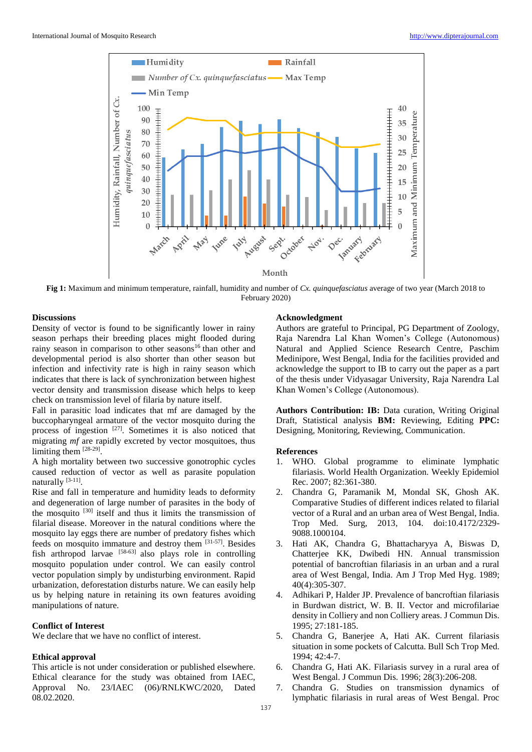

**Fig 1:** Maximum and minimum temperature, rainfall, humidity and number of *Cx. quinquefasciatus* average of two year (March 2018 to February 2020)

### **Discussions**

Density of vector is found to be significantly lower in rainy season perhaps their breeding places might flooded during rainy season in comparison to other seasons<sup>16</sup> than other and developmental period is also shorter than other season but infection and infectivity rate is high in rainy season which indicates that there is lack of synchronization between highest vector density and transmission disease which helps to keep check on transmission level of filaria by nature itself.

Fall in parasitic load indicates that mf are damaged by the buccopharyngeal armature of the vector mosquito during the process of ingestion [27]. Sometimes it is also noticed that migrating *mf* are rapidly excreted by vector mosquitoes, thus limiting them [28-29].

A high mortality between two successive gonotrophic cycles caused reduction of vector as well as parasite population naturally [3-11].

Rise and fall in temperature and humidity leads to deformity and degeneration of large number of parasites in the body of the mosquito [30] itself and thus it limits the transmission of filarial disease. Moreover in the natural conditions where the mosquito lay eggs there are number of predatory fishes which feeds on mosquito immature and destroy them [31-57]. Besides fish arthropod larvae [58-63] also plays role in controlling mosquito population under control. We can easily control vector population simply by undisturbing environment. Rapid urbanization, deforestation disturbs nature. We can easily help us by helping nature in retaining its own features avoiding manipulations of nature.

### **Conflict of Interest**

We declare that we have no conflict of interest.

### **Ethical approval**

This article is not under consideration or published elsewhere. Ethical clearance for the study was obtained from IAEC, Approval No. 23/IAEC (06)/RNLKWC/2020, Dated 08.02.2020.

### **Acknowledgment**

Authors are grateful to Principal, PG Department of Zoology, Raja Narendra Lal Khan Women's College (Autonomous) Natural and Applied Science Research Centre, Paschim Medinipore, West Bengal, India for the facilities provided and acknowledge the support to IB to carry out the paper as a part of the thesis under Vidyasagar University, Raja Narendra Lal Khan Women's College (Autonomous).

Authors Contribution: IB: Data curation, Writing Original Draft, Statistical analysis **BM:** Reviewing, Editing **PPC:**  Designing, Monitoring, Reviewing, Communication.

### **References**

- 1. WHO. Global programme to eliminate lymphatic filariasis. World Health Organization. Weekly Epidemiol Rec. 2007; 82:361-380.
- 2. Chandra G, Paramanik M, Mondal SK, Ghosh AK. Comparative Studies of different indices related to filarial vector of a Rural and an urban area of West Bengal, India. Trop Med. Surg, 2013, 104. doi:10.4172/2329- 9088.1000104.
- 3. Hati AK, Chandra G, Bhattacharyya A, Biswas D, Chatterjee KK, Dwibedi HN. Annual transmission potential of bancroftian filariasis in an urban and a rural area of West Bengal, India. Am J Trop Med Hyg. 1989; 40(4):305-307.
- 4. Adhikari P, Halder JP. Prevalence of bancroftian filariasis in Burdwan district, W. B. II. Vector and microfilariae density in Colliery and non Colliery areas. J Commun Dis. 1995; 27:181-185.
- 5. Chandra G, Banerjee A, Hati AK. Current filariasis situation in some pockets of Calcutta. Bull Sch Trop Med. 1994; 42:4-7.
- 6. Chandra G, Hati AK. Filariasis survey in a rural area of West Bengal. J Commun Dis. 1996; 28(3):206-208.
- 7. Chandra G. Studies on transmission dynamics of lymphatic filariasis in rural areas of West Bengal. Proc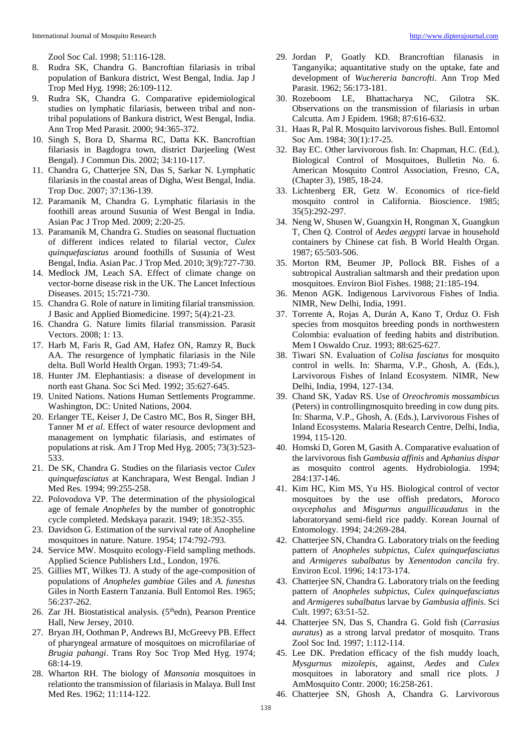Zool Soc Cal. 1998; 51:116-128.

- 8. Rudra SK, Chandra G. Bancroftian filariasis in tribal population of Bankura district, West Bengal, India. Jap J Trop Med Hyg. 1998; 26:109-112.
- 9. Rudra SK, Chandra G. Comparative epidemiological studies on lymphatic filariasis, between tribal and nontribal populations of Bankura district, West Bengal, India. Ann Trop Med Parasit. 2000; 94:365-372.
- 10. Singh S, Bora D, Sharma RC, Datta KK. Bancroftian filariasis in Bagdogra town, district Darjeeling (West Bengal). J Commun Dis. 2002; 34:110-117.
- 11. Chandra G, Chatterjee SN, Das S, Sarkar N. Lymphatic filariasis in the coastal areas of Digha, West Bengal, India. Trop Doc. 2007; 37:136-139.
- 12. Paramanik M, Chandra G. Lymphatic filariasis in the foothill areas around Susunia of West Bengal in India. Asian Pac J Trop Med. 2009; 2:20-25.
- 13. Paramanik M, Chandra G. Studies on seasonal fluctuation of different indices related to filarial vector, *Culex quinquefasciatus* around foothills of Susunia of West Bengal, India. Asian Pac. J Trop Med. 2010; 3(9):727-730.
- 14. Medlock JM, Leach SA. Effect of climate change on vector-borne disease risk in the UK. The Lancet Infectious Diseases. 2015; 15:721-730.
- 15. Chandra G. Role of nature in limiting filarial transmission. J Basic and Applied Biomedicine. 1997; 5(4):21-23.
- 16. Chandra G. Nature limits filarial transmission. Parasit Vectors. 2008; 1: 13.
- 17. Harb M, Faris R, Gad AM, Hafez ON, Ramzy R, Buck AA. The resurgence of lymphatic filariasis in the Nile delta. Bull World Health Organ. 1993; 71:49-54.
- 18. Hunter JM. Elephantiasis: a disease of development in north east Ghana. Soc Sci Med. 1992; 35:627-645.
- 19. United Nations. Nations Human Settlements Programme. Washington, DC: United Nations, 2004.
- 20. Erlanger TE, Keiser J, De Castro MC, Bos R, Singer BH, Tanner M *et al*. Effect of water resource devlopment and management on lymphatic filariasis, and estimates of populations at risk. Am J Trop Med Hyg. 2005; 73(3):523- 533.
- 21. De SK, Chandra G. Studies on the filariasis vector *Culex quinquefasciatus* at Kanchrapara, West Bengal. Indian J Med Res. 1994; 99:255-258.
- 22. Polovodova VP. The determination of the physiological age of female *Anopheles* by the number of gonotrophic cycle completed. Medskaya parazit. 1949; 18:352-355.
- 23. Davidson G. Estimation of the survival rate of Anopheline mosquitoes in nature. Nature. 1954; 174:792-793.
- 24. Service MW. Mosquito ecology-Field sampling methods. Applied Science Publishers Ltd., London, 1976.
- 25. Gillies MT, Wilkes TJ. A study of the age-composition of populations of *Anopheles gambiae* Giles and *A. funestus*  Giles in North Eastern Tanzania. Bull Entomol Res. 1965; 56:237-262.
- 26. Zar JH. Biostatistical analysis. (5<sup>th</sup>edn), Pearson Prentice Hall, New Jersey, 2010.
- 27. Bryan JH, Oothman P, Andrews BJ, McGreevy PB. Effect of pharyngeal armature of mosquitoes on microfilariae of *Brugia pahangi*. Trans Roy Soc Trop Med Hyg. 1974; 68:14-19.
- 28. Wharton RH. The biology of *Mansonia* mosquitoes in relationto the transmission of filariasis in Malaya. Bull Inst Med Res. 1962; 11:114-122.
- 29. Jordan P, Goatly KD. Brancroftian filanasis in Tanganyika; aquantitative study on the uptake, fate and development of *Wuchereria bancrofti*. Ann Trop Med Parasit. 1962; 56:173-181.
- 30. Rozeboom LE, Bhattacharya NC, Gilotra SK. Observations on the transmission of filariasis in urban Calcutta. Am J Epidem. 1968; 87:616-632.
- 31. Haas R, Pal R. Mosquito larvivorous fishes. Bull. Entomol Soc Am. 1984; 30(1):17-25.
- 32. Bay EC. Other larvivorous fish. In: Chapman, H.C. (Ed.), Biological Control of Mosquitoes, Bulletin No. 6. American Mosquito Control Association, Fresno, CA, (Chapter 3), 1985, 18-24.
- 33. Lichtenberg ER, Getz W. Economics of rice-field mosquito control in California. Bioscience. 1985; 35(5):292-297.
- 34. Neng W, Shusen W, Guangxin H, Rongman X, Guangkun T, Chen Q. Control of *Aedes aegypti* larvae in household containers by Chinese cat fish. B World Health Organ. 1987; 65:503-506.
- 35. Morton RM, Beumer JP, Pollock BR. Fishes of a subtropical Australian saltmarsh and their predation upon mosquitoes. Environ Biol Fishes. 1988; 21:185-194.
- 36. Menon AGK. Indigenous Larvivorous Fishes of India. NIMR, New Delhi, India, 1991.
- 37. Torrente A, Rojas A, Durán A, Kano T, Orduz O. Fish species from mosquitos breeding ponds in northwestern Colombia: evaluation of feeding habits and distribution. Mem I Oswaldo Cruz. 1993; 88:625-627.
- 38. Tiwari SN. Evaluation of *Colisa fasciatus* for mosquito control in wells. In: Sharma, V.P., Ghosh, A. (Eds.), Larvivorous Fishes of Inland Ecosystem. NIMR, New Delhi, India, 1994, 127-134.
- 39. Chand SK, Yadav RS. Use of *Oreochromis mossambicus* (Peters) in controllingmosquito breeding in cow dung pits. In: Sharma, V.P., Ghosh, A. (Eds.), Larvivorous Fishes of Inland Ecosystems. Malaria Research Centre, Delhi, India, 1994, 115-120.
- 40. Homski D, Goren M, Gasith A. Comparative evaluation of the larvivorous fish *Gambusia affinis* and *Aphanius dispar* as mosquito control agents. Hydrobiologia. 1994; 284:137-146.
- 41. Kim HC, Kim MS, Yu HS. Biological control of vector mosquitoes by the use offish predators, *Moroco oxycephalus* and *Misgurnus anguillicaudatus* in the laboratoryand semi-field rice paddy. Korean Journal of Entomology. 1994; 24:269-284.
- 42. Chatterjee SN, Chandra G. Laboratory trials on the feeding pattern of *Anopheles subpictus*, *Culex quinquefasciatus* and *Armigeres subalbatus* by *Xenentodon cancila* fry. Environ Ecol. 1996; 14:173-174.
- 43. Chatterjee SN, Chandra G. Laboratory trials on the feeding pattern of *Anopheles subpictus*, *Culex quinquefasciatus*  and *Armigeres subalbatus* larvae by *Gambusia affinis*. Sci Cult. 1997; 63:51-52.
- 44. Chatterjee SN, Das S, Chandra G. Gold fish (*Carrasius auratus*) as a strong larval predator of mosquito. Trans Zool Soc Ind. 1997; 1:112-114.
- 45. Lee DK. Predation efficacy of the fish muddy loach, *Mysgurnus mizolepis*, against, *Aedes* and *Culex*  mosquitoes in laboratory and small rice plots. J AmMosquito Contr. 2000; 16:258-261.
- 46. Chatterjee SN, Ghosh A, Chandra G. Larvivorous